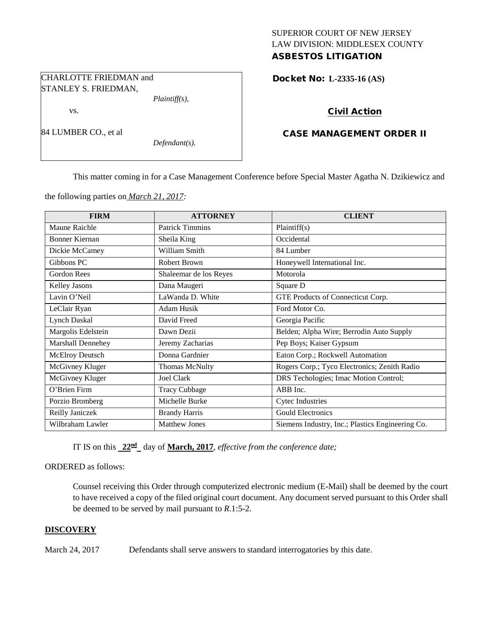## SUPERIOR COURT OF NEW JERSEY LAW DIVISION: MIDDLESEX COUNTY ASBESTOS LITIGATION

Docket No: **L-2335-16 (AS)** 

# Civil Action

# CASE MANAGEMENT ORDER II

This matter coming in for a Case Management Conference before Special Master Agatha N. Dzikiewicz and

the following parties on *March 21, 2017:*

*Plaintiff(s),*

*Defendant(s).*

CHARLOTTE FRIEDMAN and STANLEY S. FRIEDMAN,

vs.

84 LUMBER CO., et al

| <b>FIRM</b>           | <b>ATTORNEY</b>        | <b>CLIENT</b>                                    |
|-----------------------|------------------------|--------------------------------------------------|
| Maune Raichle         | <b>Patrick Timmins</b> | Plaintiff(s)                                     |
| <b>Bonner Kiernan</b> | Sheila King            | Occidental                                       |
| Dickie McCamey        | William Smith          | 84 Lumber                                        |
| Gibbons PC            | Robert Brown           | Honeywell International Inc.                     |
| Gordon Rees           | Shaleemar de los Reyes | Motorola                                         |
| Kelley Jasons         | Dana Maugeri           | Square D                                         |
| Lavin O'Neil          | LaWanda D. White       | GTE Products of Connecticut Corp.                |
| LeClair Ryan          | Adam Husik             | Ford Motor Co.                                   |
| Lynch Daskal          | David Freed            | Georgia Pacific                                  |
| Margolis Edelstein    | Dawn Dezii             | Belden; Alpha Wire; Berrodin Auto Supply         |
| Marshall Dennehey     | Jeremy Zacharias       | Pep Boys; Kaiser Gypsum                          |
| McElroy Deutsch       | Donna Gardnier         | Eaton Corp.; Rockwell Automation                 |
| McGivney Kluger       | <b>Thomas McNulty</b>  | Rogers Corp.; Tyco Electronics; Zenith Radio     |
| McGivney Kluger       | <b>Joel Clark</b>      | DRS Techologies; Imac Motion Control;            |
| O'Brien Firm          | <b>Tracy Cubbage</b>   | ABB Inc.                                         |
| Porzio Bromberg       | Michelle Burke         | <b>Cytec Industries</b>                          |
| Reilly Janiczek       | <b>Brandy Harris</b>   | <b>Gould Electronics</b>                         |
| Wilbraham Lawler      | <b>Matthew Jones</b>   | Siemens Industry, Inc.; Plastics Engineering Co. |

IT IS on this  $22^{\text{nd}}$  day of **March, 2017**, *effective from the conference date*;

ORDERED as follows:

Counsel receiving this Order through computerized electronic medium (E-Mail) shall be deemed by the court to have received a copy of the filed original court document. Any document served pursuant to this Order shall be deemed to be served by mail pursuant to *R*.1:5-2.

## **DISCOVERY**

March 24, 2017 Defendants shall serve answers to standard interrogatories by this date.